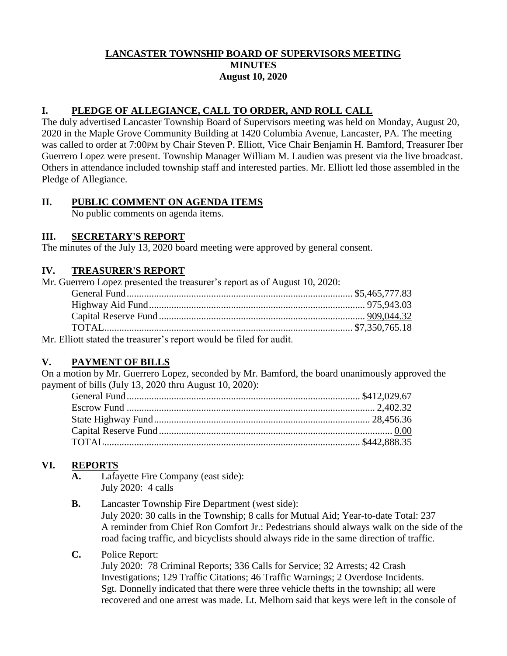### **LANCASTER TOWNSHIP BOARD OF SUPERVISORS MEETING MINUTES August 10, 2020**

# **I. PLEDGE OF ALLEGIANCE, CALL TO ORDER, AND ROLL CALL**

The duly advertised Lancaster Township Board of Supervisors meeting was held on Monday, August 20, 2020 in the Maple Grove Community Building at 1420 Columbia Avenue, Lancaster, PA. The meeting was called to order at 7:00PM by Chair Steven P. Elliott, Vice Chair Benjamin H. Bamford, Treasurer Iber Guerrero Lopez were present. Township Manager William M. Laudien was present via the live broadcast. Others in attendance included township staff and interested parties. Mr. Elliott led those assembled in the Pledge of Allegiance.

## **II. PUBLIC COMMENT ON AGENDA ITEMS**

No public comments on agenda items.

### **III. SECRETARY'S REPORT**

The minutes of the July 13, 2020 board meeting were approved by general consent.

#### **IV. TREASURER'S REPORT**

| Mr. Guerrero Lopez presented the treasurer's report as of August 10, 2020: |  |
|----------------------------------------------------------------------------|--|
|                                                                            |  |
|                                                                            |  |
|                                                                            |  |
|                                                                            |  |
| Mr. Elliott stated the treasurer's report would be filed for sudit         |  |

Mr. Elliott stated the treasurer's report would be filed for audit.

# **V. PAYMENT OF BILLS**

On a motion by Mr. Guerrero Lopez, seconded by Mr. Bamford, the board unanimously approved the payment of bills (July 13, 2020 thru August 10, 2020):

# **VI. REPORTS**

- **A.** Lafayette Fire Company (east side): July 2020: 4 calls
- **B.** Lancaster Township Fire Department (west side): July 2020: 30 calls in the Township; 8 calls for Mutual Aid; Year-to-date Total: 237 A reminder from Chief Ron Comfort Jr.: Pedestrians should always walk on the side of the road facing traffic, and bicyclists should always ride in the same direction of traffic.

### **C.** Police Report:

July 2020: 78 Criminal Reports; 336 Calls for Service; 32 Arrests; 42 Crash Investigations; 129 Traffic Citations; 46 Traffic Warnings; 2 Overdose Incidents. Sgt. Donnelly indicated that there were three vehicle thefts in the township; all were recovered and one arrest was made. Lt. Melhorn said that keys were left in the console of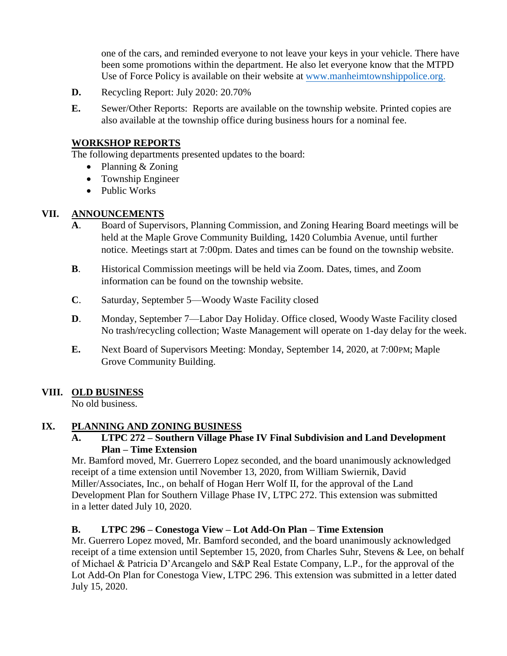one of the cars, and reminded everyone to not leave your keys in your vehicle. There have been some promotions within the department. He also let everyone know that the MTPD Use of Force Policy is available on their website a[t www.manheimtownshippolice.org](http://www.manheimtownshippolice.org/).

- **D.** Recycling Report: July 2020: 20.70%
- **E.** Sewer/Other Reports: Reports are available on the township website. Printed copies are also available at the township office during business hours for a nominal fee.

#### **WORKSHOP REPORTS**

The following departments presented updates to the board:

- Planning & Zoning
- Township Engineer
- Public Works

### **VII. ANNOUNCEMENTS**

- **A**. Board of Supervisors, Planning Commission, and Zoning Hearing Board meetings will be held at the Maple Grove Community Building, 1420 Columbia Avenue, until further notice. Meetings start at 7:00pm. Dates and times can be found on the township website.
- **B**. Historical Commission meetings will be held via Zoom. Dates, times, and Zoom information can be found on the township website.
- **C**. Saturday, September 5—Woody Waste Facility closed
- **D**. Monday, September 7—Labor Day Holiday. Office closed, Woody Waste Facility closed No trash/recycling collection; Waste Management will operate on 1-day delay for the week.
- **E.** Next Board of Supervisors Meeting: Monday, September 14, 2020, at 7:00PM; Maple Grove Community Building.

### **VIII. OLD BUSINESS**

No old business.

#### **IX. PLANNING AND ZONING BUSINESS**

### **A. LTPC 272 – Southern Village Phase IV Final Subdivision and Land Development Plan – Time Extension**

Mr. Bamford moved, Mr. Guerrero Lopez seconded, and the board unanimously acknowledged receipt of a time extension until November 13, 2020, from William Swiernik, David Miller/Associates, Inc., on behalf of Hogan Herr Wolf II, for the approval of the Land Development Plan for Southern Village Phase IV, LTPC 272. This extension was submitted in a letter dated July 10, 2020.

### **B. LTPC 296 – Conestoga View – Lot Add-On Plan – Time Extension**

Mr. Guerrero Lopez moved, Mr. Bamford seconded, and the board unanimously acknowledged receipt of a time extension until September 15, 2020, from Charles Suhr, Stevens & Lee, on behalf of Michael & Patricia D'Arcangelo and S&P Real Estate Company, L.P., for the approval of the Lot Add-On Plan for Conestoga View, LTPC 296. This extension was submitted in a letter dated July 15, 2020.